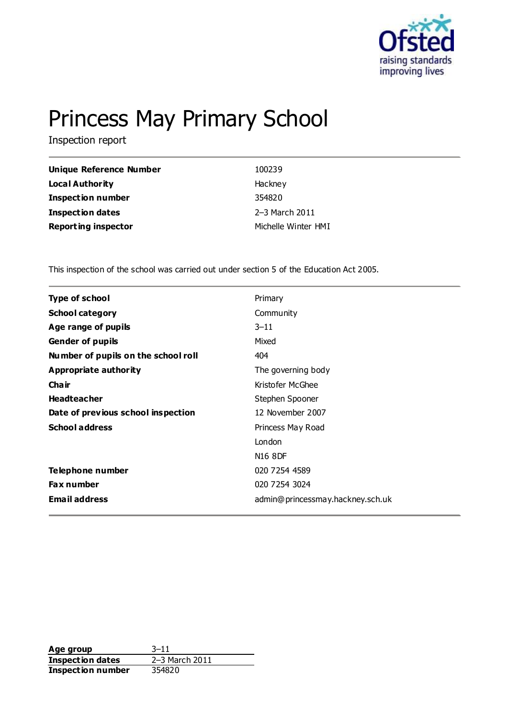

# Princess May Primary School

Inspection report

| Unique Reference Number    | 100239              |
|----------------------------|---------------------|
| Local Authority            | Hackney             |
| <b>Inspection number</b>   | 354820              |
| <b>Inspection dates</b>    | 2-3 March 2011      |
| <b>Reporting inspector</b> | Michelle Winter HMI |

This inspection of the school was carried out under section 5 of the Education Act 2005.

| <b>Type of school</b>               | Primary                          |
|-------------------------------------|----------------------------------|
| <b>School category</b>              | Community                        |
| Age range of pupils                 | $3 - 11$                         |
| <b>Gender of pupils</b>             | Mixed                            |
| Number of pupils on the school roll | 404                              |
| Appropriate authority               | The governing body               |
| Cha ir                              | Kristofer McGhee                 |
| <b>Headteacher</b>                  | Stephen Spooner                  |
| Date of previous school inspection  | 12 November 2007                 |
| <b>School address</b>               | Princess May Road                |
|                                     | London                           |
|                                     | N <sub>16</sub> 8DF              |
| Telephone number                    | 020 7254 4589                    |
| <b>Fax number</b>                   | 020 7254 3024                    |
| <b>Email address</b>                | admin@princessmay.hackney.sch.uk |
|                                     |                                  |

**Age group** 3-11<br> **Inspection dates** 2-3 March 2011 **Inspection dates Inspection number** 354820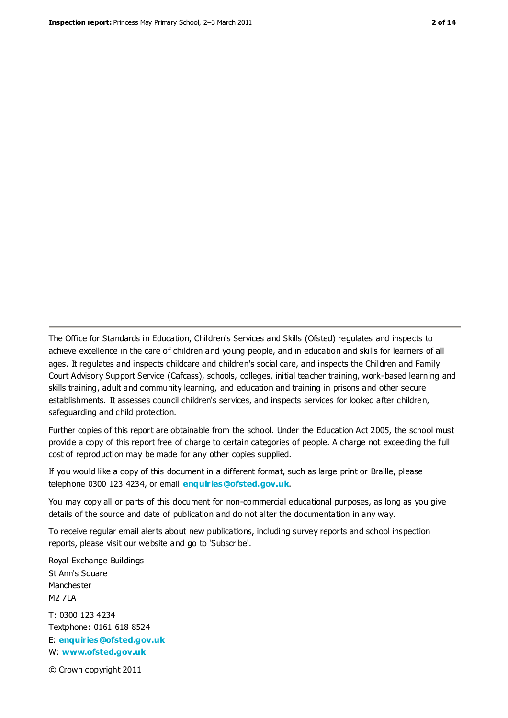The Office for Standards in Education, Children's Services and Skills (Ofsted) regulates and inspects to achieve excellence in the care of children and young people, and in education and skills for learners of all ages. It regulates and inspects childcare and children's social care, and inspects the Children and Family Court Advisory Support Service (Cafcass), schools, colleges, initial teacher training, work-based learning and skills training, adult and community learning, and education and training in prisons and other secure establishments. It assesses council children's services, and inspects services for looked after children, safeguarding and child protection.

Further copies of this report are obtainable from the school. Under the Education Act 2005, the school must provide a copy of this report free of charge to certain categories of people. A charge not exceeding the full cost of reproduction may be made for any other copies supplied.

If you would like a copy of this document in a different format, such as large print or Braille, please telephone 0300 123 4234, or email **[enquiries@ofsted.gov.uk](mailto:enquiries@ofsted.gov.uk)**.

You may copy all or parts of this document for non-commercial educational purposes, as long as you give details of the source and date of publication and do not alter the documentation in any way.

To receive regular email alerts about new publications, including survey reports and school inspection reports, please visit our website and go to 'Subscribe'.

Royal Exchange Buildings St Ann's Square Manchester M2 7LA T: 0300 123 4234 Textphone: 0161 618 8524 E: **[enquiries@ofsted.gov.uk](mailto:enquiries@ofsted.gov.uk)**

W: **[www.ofsted.gov.uk](http://www.ofsted.gov.uk/)**

© Crown copyright 2011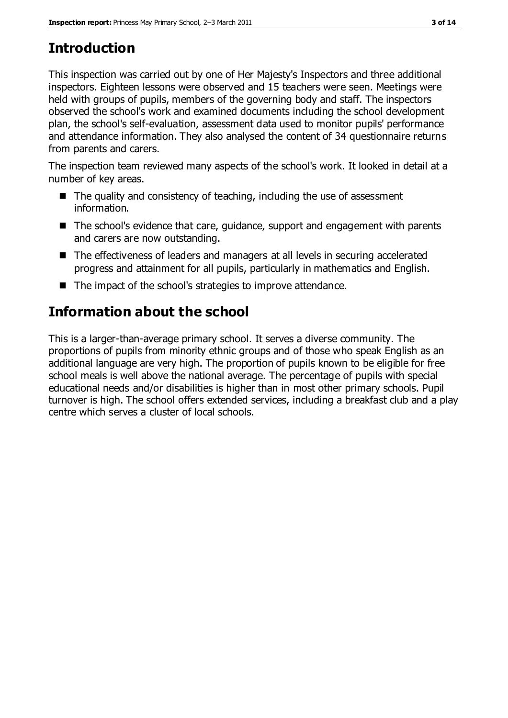## **Introduction**

This inspection was carried out by one of Her Majesty's Inspectors and three additional inspectors. Eighteen lessons were observed and 15 teachers were seen. Meetings were held with groups of pupils, members of the governing body and staff. The inspectors observed the school's work and examined documents including the school development plan, the school's self-evaluation, assessment data used to monitor pupils' performance and attendance information. They also analysed the content of 34 questionnaire returns from parents and carers.

The inspection team reviewed many aspects of the school's work. It looked in detail at a number of key areas.

- $\blacksquare$  The quality and consistency of teaching, including the use of assessment information.
- The school's evidence that care, guidance, support and engagement with parents and carers are now outstanding.
- The effectiveness of leaders and managers at all levels in securing accelerated progress and attainment for all pupils, particularly in mathematics and English.
- The impact of the school's strategies to improve attendance.

## **Information about the school**

This is a larger-than-average primary school. It serves a diverse community. The proportions of pupils from minority ethnic groups and of those who speak English as an additional language are very high. The proportion of pupils known to be eligible for free school meals is well above the national average. The percentage of pupils with special educational needs and/or disabilities is higher than in most other primary schools. Pupil turnover is high. The school offers extended services, including a breakfast club and a play centre which serves a cluster of local schools.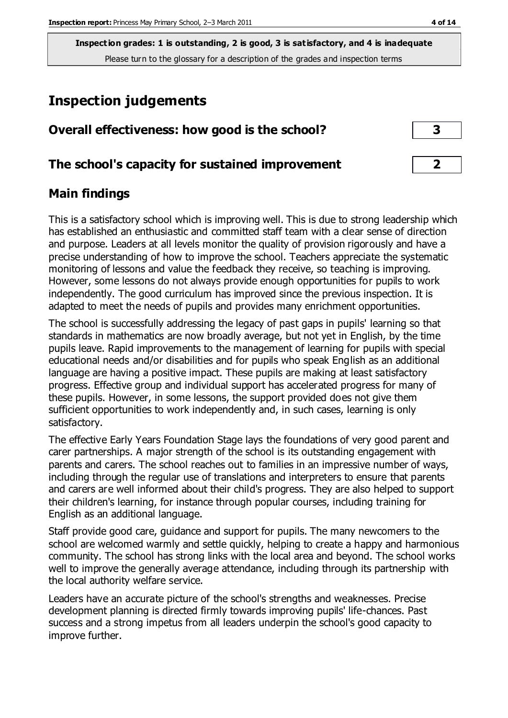**Inspection grades: 1 is outstanding, 2 is good, 3 is satisfactory, and 4 is inadequate** Please turn to the glossary for a description of the grades and inspection terms

## **Inspection judgements**

| Overall effectiveness: how good is the school?  |  |
|-------------------------------------------------|--|
| The school's capacity for sustained improvement |  |

## **Main findings**

This is a satisfactory school which is improving well. This is due to strong leadership which has established an enthusiastic and committed staff team with a clear sense of direction and purpose. Leaders at all levels monitor the quality of provision rigorously and have a precise understanding of how to improve the school. Teachers appreciate the systematic monitoring of lessons and value the feedback they receive, so teaching is improving. However, some lessons do not always provide enough opportunities for pupils to work independently. The good curriculum has improved since the previous inspection. It is adapted to meet the needs of pupils and provides many enrichment opportunities.

The school is successfully addressing the legacy of past gaps in pupils' learning so that standards in mathematics are now broadly average, but not yet in English, by the time pupils leave. Rapid improvements to the management of learning for pupils with special educational needs and/or disabilities and for pupils who speak English as an additional language are having a positive impact. These pupils are making at least satisfactory progress. Effective group and individual support has accelerated progress for many of these pupils. However, in some lessons, the support provided does not give them sufficient opportunities to work independently and, in such cases, learning is only satisfactory.

The effective Early Years Foundation Stage lays the foundations of very good parent and carer partnerships. A major strength of the school is its outstanding engagement with parents and carers. The school reaches out to families in an impressive number of ways, including through the regular use of translations and interpreters to ensure that parents and carers are well informed about their child's progress. They are also helped to support their children's learning, for instance through popular courses, including training for English as an additional language.

Staff provide good care, guidance and support for pupils. The many newcomers to the school are welcomed warmly and settle quickly, helping to create a happy and harmonious community. The school has strong links with the local area and beyond. The school works well to improve the generally average attendance, including through its partnership with the local authority welfare service.

Leaders have an accurate picture of the school's strengths and weaknesses. Precise development planning is directed firmly towards improving pupils' life-chances. Past success and a strong impetus from all leaders underpin the school's good capacity to improve further.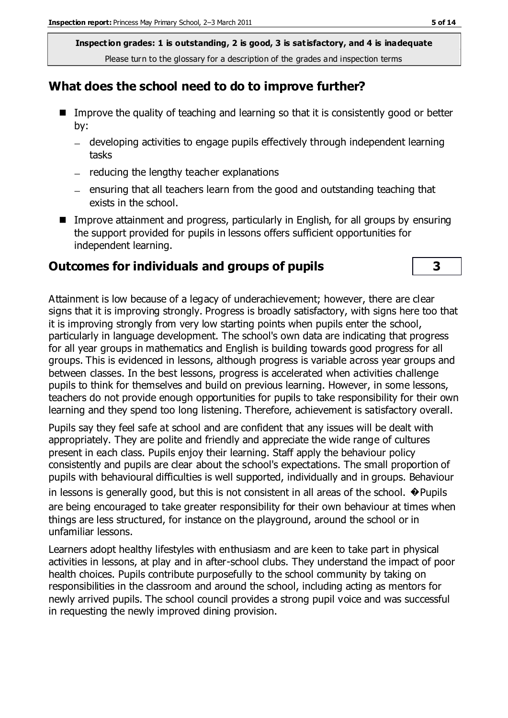**Inspection grades: 1 is outstanding, 2 is good, 3 is satisfactory, and 4 is inadequate** Please turn to the glossary for a description of the grades and inspection terms

## **What does the school need to do to improve further?**

- Improve the quality of teaching and learning so that it is consistently good or better by:
	- developing activities to engage pupils effectively through independent learning tasks
	- $-$  reducing the lengthy teacher explanations
	- $-$  ensuring that all teachers learn from the good and outstanding teaching that exists in the school.
- **IMPROVE Attainment and progress, particularly in English, for all groups by ensuring** the support provided for pupils in lessons offers sufficient opportunities for independent learning.

#### **Outcomes for individuals and groups of pupils 3**

Attainment is low because of a legacy of underachievement; however, there are clear signs that it is improving strongly. Progress is broadly satisfactory, with signs here too that it is improving strongly from very low starting points when pupils enter the school, particularly in language development. The school's own data are indicating that progress for all year groups in mathematics and English is building towards good progress for all groups. This is evidenced in lessons, although progress is variable across year groups and between classes. In the best lessons, progress is accelerated when activities challenge pupils to think for themselves and build on previous learning. However, in some lessons, teachers do not provide enough opportunities for pupils to take responsibility for their own learning and they spend too long listening. Therefore, achievement is satisfactory overall.

Pupils say they feel safe at school and are confident that any issues will be dealt with appropriately. They are polite and friendly and appreciate the wide range of cultures present in each class. Pupils enjoy their learning. Staff apply the behaviour policy consistently and pupils are clear about the school's expectations. The small proportion of pupils with behavioural difficulties is well supported, individually and in groups. Behaviour

in lessons is generally good, but this is not consistent in all areas of the school.  $\bullet$  Pupils are being encouraged to take greater responsibility for their own behaviour at times when things are less structured, for instance on the playground, around the school or in unfamiliar lessons.

Learners adopt healthy lifestyles with enthusiasm and are keen to take part in physical activities in lessons, at play and in after-school clubs. They understand the impact of poor health choices. Pupils contribute purposefully to the school community by taking on responsibilities in the classroom and around the school, including acting as mentors for newly arrived pupils. The school council provides a strong pupil voice and was successful in requesting the newly improved dining provision.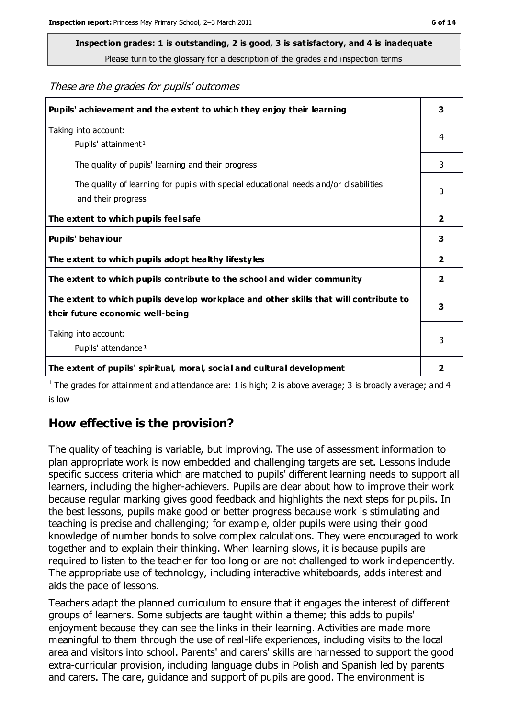## **Inspection grades: 1 is outstanding, 2 is good, 3 is satisfactory, and 4 is inadequate**

Please turn to the glossary for a description of the grades and inspection terms

These are the grades for pupils' outcomes

| Pupils' achievement and the extent to which they enjoy their learning                                                     | 3              |
|---------------------------------------------------------------------------------------------------------------------------|----------------|
| Taking into account:<br>Pupils' attainment <sup>1</sup>                                                                   | 4              |
| The quality of pupils' learning and their progress                                                                        | 3              |
| The quality of learning for pupils with special educational needs and/or disabilities<br>and their progress               | 3              |
| The extent to which pupils feel safe                                                                                      | $\mathbf{2}$   |
| Pupils' behaviour                                                                                                         | 3              |
| The extent to which pupils adopt healthy lifestyles                                                                       | $\overline{2}$ |
| The extent to which pupils contribute to the school and wider community                                                   | $\mathbf{2}$   |
| The extent to which pupils develop workplace and other skills that will contribute to<br>their future economic well-being | 3              |
| Taking into account:<br>Pupils' attendance <sup>1</sup>                                                                   | 3              |
| The extent of pupils' spiritual, moral, social and cultural development                                                   | 2              |

<sup>1</sup> The grades for attainment and attendance are: 1 is high; 2 is above average; 3 is broadly average; and 4 is low

## **How effective is the provision?**

The quality of teaching is variable, but improving. The use of assessment information to plan appropriate work is now embedded and challenging targets are set. Lessons include specific success criteria which are matched to pupils' different learning needs to support all learners, including the higher-achievers. Pupils are clear about how to improve their work because regular marking gives good feedback and highlights the next steps for pupils. In the best lessons, pupils make good or better progress because work is stimulating and teaching is precise and challenging; for example, older pupils were using their good knowledge of number bonds to solve complex calculations. They were encouraged to work together and to explain their thinking. When learning slows, it is because pupils are required to listen to the teacher for too long or are not challenged to work independently. The appropriate use of technology, including interactive whiteboards, adds interest and aids the pace of lessons.

Teachers adapt the planned curriculum to ensure that it engages the interest of different groups of learners. Some subjects are taught within a theme; this adds to pupils' enjoyment because they can see the links in their learning. Activities are made more meaningful to them through the use of real-life experiences, including visits to the local area and visitors into school. Parents' and carers' skills are harnessed to support the good extra-curricular provision, including language clubs in Polish and Spanish led by parents and carers. The care, guidance and support of pupils are good. The environment is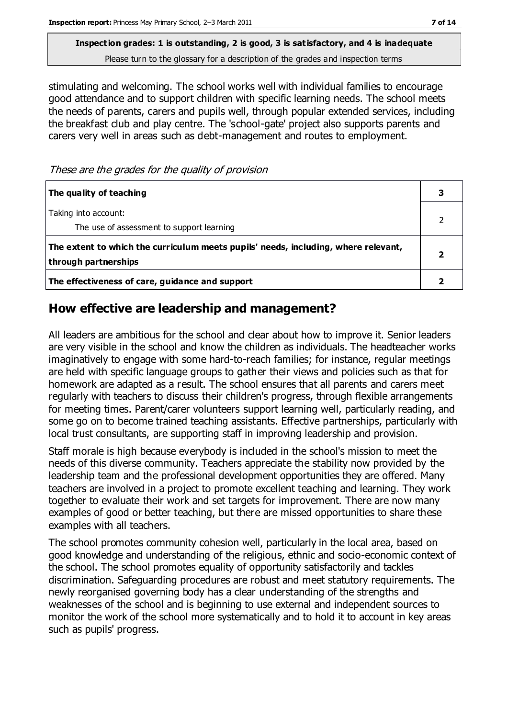**Inspection grades: 1 is outstanding, 2 is good, 3 is satisfactory, and 4 is inadequate** Please turn to the glossary for a description of the grades and inspection terms

stimulating and welcoming. The school works well with individual families to encourage good attendance and to support children with specific learning needs. The school meets the needs of parents, carers and pupils well, through popular extended services, including the breakfast club and play centre. The 'school-gate' project also supports parents and carers very well in areas such as debt-management and routes to employment.

These are the grades for the quality of provision

| The quality of teaching                                                                                    |  |
|------------------------------------------------------------------------------------------------------------|--|
| Taking into account:<br>The use of assessment to support learning                                          |  |
| The extent to which the curriculum meets pupils' needs, including, where relevant,<br>through partnerships |  |
| The effectiveness of care, guidance and support                                                            |  |

## **How effective are leadership and management?**

All leaders are ambitious for the school and clear about how to improve it. Senior leaders are very visible in the school and know the children as individuals. The headteacher works imaginatively to engage with some hard-to-reach families; for instance, regular meetings are held with specific language groups to gather their views and policies such as that for homework are adapted as a result. The school ensures that all parents and carers meet regularly with teachers to discuss their children's progress, through flexible arrangements for meeting times. Parent/carer volunteers support learning well, particularly reading, and some go on to become trained teaching assistants. Effective partnerships, particularly with local trust consultants, are supporting staff in improving leadership and provision.

Staff morale is high because everybody is included in the school's mission to meet the needs of this diverse community. Teachers appreciate the stability now provided by the leadership team and the professional development opportunities they are offered. Many teachers are involved in a project to promote excellent teaching and learning. They work together to evaluate their work and set targets for improvement. There are now many examples of good or better teaching, but there are missed opportunities to share these examples with all teachers.

The school promotes community cohesion well, particularly in the local area, based on good knowledge and understanding of the religious, ethnic and socio-economic context of the school. The school promotes equality of opportunity satisfactorily and tackles discrimination. Safeguarding procedures are robust and meet statutory requirements. The newly reorganised governing body has a clear understanding of the strengths and weaknesses of the school and is beginning to use external and independent sources to monitor the work of the school more systematically and to hold it to account in key areas such as pupils' progress.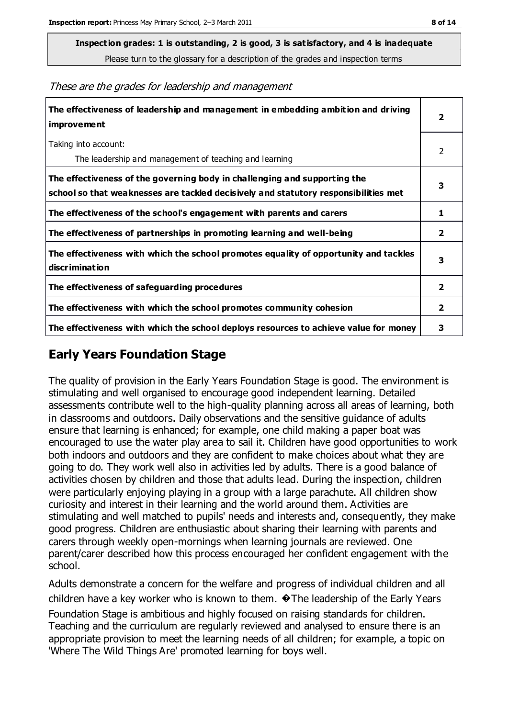**Inspection grades: 1 is outstanding, 2 is good, 3 is satisfactory, and 4 is inadequate**

Please turn to the glossary for a description of the grades and inspection terms

These are the grades for leadership and management

| The effectiveness of leadership and management in embedding ambition and driving<br>improvement                                                                  | $\overline{2}$ |
|------------------------------------------------------------------------------------------------------------------------------------------------------------------|----------------|
| Taking into account:<br>The leadership and management of teaching and learning                                                                                   | 2              |
| The effectiveness of the governing body in challenging and supporting the<br>school so that weaknesses are tackled decisively and statutory responsibilities met | 3              |
| The effectiveness of the school's engagement with parents and carers                                                                                             | 1              |
| The effectiveness of partnerships in promoting learning and well-being                                                                                           | 2              |
| The effectiveness with which the school promotes equality of opportunity and tackles<br>discrimination                                                           | 3              |
| The effectiveness of safeguarding procedures                                                                                                                     | 2              |
| The effectiveness with which the school promotes community cohesion                                                                                              | $\overline{2}$ |
| The effectiveness with which the school deploys resources to achieve value for money                                                                             | 3              |

## **Early Years Foundation Stage**

The quality of provision in the Early Years Foundation Stage is good. The environment is stimulating and well organised to encourage good independent learning. Detailed assessments contribute well to the high-quality planning across all areas of learning, both in classrooms and outdoors. Daily observations and the sensitive guidance of adults ensure that learning is enhanced; for example, one child making a paper boat was encouraged to use the water play area to sail it. Children have good opportunities to work both indoors and outdoors and they are confident to make choices about what they are going to do. They work well also in activities led by adults. There is a good balance of activities chosen by children and those that adults lead. During the inspection, children were particularly enjoying playing in a group with a large parachute. All children show curiosity and interest in their learning and the world around them. Activities are stimulating and well matched to pupils' needs and interests and, consequently, they make good progress. Children are enthusiastic about sharing their learning with parents and carers through weekly open-mornings when learning journals are reviewed. One parent/carer described how this process encouraged her confident engagement with the school.

Adults demonstrate a concern for the welfare and progress of individual children and all children have a key worker who is known to them. �The leadership of the Early Years Foundation Stage is ambitious and highly focused on raising standards for children.

Teaching and the curriculum are regularly reviewed and analysed to ensure there is an appropriate provision to meet the learning needs of all children; for example, a topic on 'Where The Wild Things Are' promoted learning for boys well.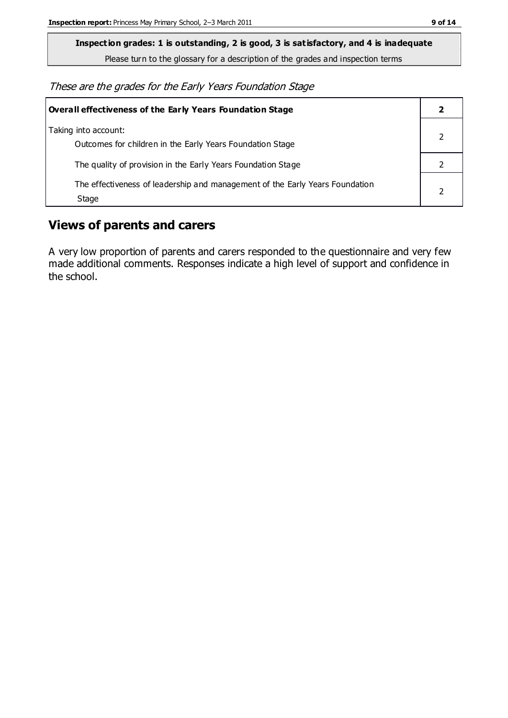**Inspection grades: 1 is outstanding, 2 is good, 3 is satisfactory, and 4 is inadequate**

Please turn to the glossary for a description of the grades and inspection terms

These are the grades for the Early Years Foundation Stage

| <b>Overall effectiveness of the Early Years Foundation Stage</b>                      |  |
|---------------------------------------------------------------------------------------|--|
| Taking into account:<br>Outcomes for children in the Early Years Foundation Stage     |  |
| The quality of provision in the Early Years Foundation Stage                          |  |
| The effectiveness of leadership and management of the Early Years Foundation<br>Stage |  |

## **Views of parents and carers**

A very low proportion of parents and carers responded to the questionnaire and very few made additional comments. Responses indicate a high level of support and confidence in the school.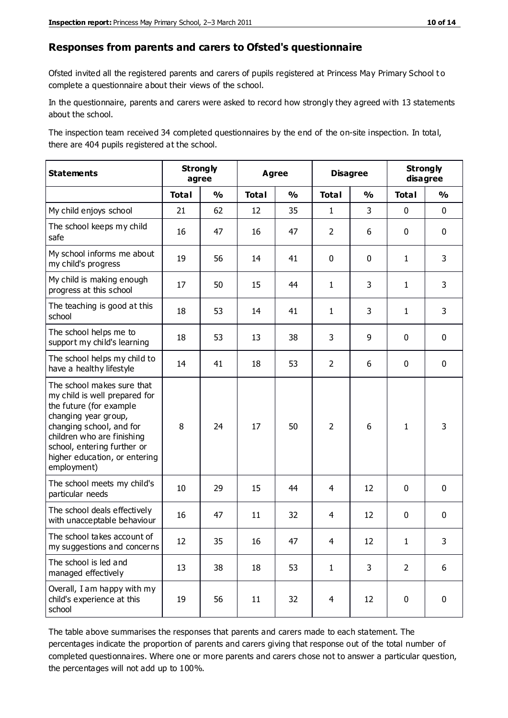#### **Responses from parents and carers to Ofsted's questionnaire**

Ofsted invited all the registered parents and carers of pupils registered at Princess May Primary School t o complete a questionnaire about their views of the school.

In the questionnaire, parents and carers were asked to record how strongly they agreed with 13 statements about the school.

The inspection team received 34 completed questionnaires by the end of the on-site inspection. In total, there are 404 pupils registered at the school.

| <b>Statements</b>                                                                                                                                                                                                                                       |              | <b>Strongly</b><br><b>Agree</b><br>agree |              |               | <b>Disagree</b> |               | <b>Strongly</b><br>disagree |               |
|---------------------------------------------------------------------------------------------------------------------------------------------------------------------------------------------------------------------------------------------------------|--------------|------------------------------------------|--------------|---------------|-----------------|---------------|-----------------------------|---------------|
|                                                                                                                                                                                                                                                         | <b>Total</b> | $\frac{1}{2}$                            | <b>Total</b> | $\frac{1}{2}$ | <b>Total</b>    | $\frac{1}{2}$ | <b>Total</b>                | $\frac{1}{2}$ |
| My child enjoys school                                                                                                                                                                                                                                  | 21           | 62                                       | 12           | 35            | $\mathbf{1}$    | 3             | $\mathbf 0$                 | $\mathbf 0$   |
| The school keeps my child<br>safe                                                                                                                                                                                                                       | 16           | 47                                       | 16           | 47            | $\overline{2}$  | 6             | $\mathbf 0$                 | $\mathbf 0$   |
| My school informs me about<br>my child's progress                                                                                                                                                                                                       | 19           | 56                                       | 14           | 41            | 0               | $\mathbf{0}$  | $\mathbf{1}$                | 3             |
| My child is making enough<br>progress at this school                                                                                                                                                                                                    | 17           | 50                                       | 15           | 44            | $\mathbf{1}$    | 3             | $\mathbf{1}$                | 3             |
| The teaching is good at this<br>school                                                                                                                                                                                                                  | 18           | 53                                       | 14           | 41            | $\mathbf{1}$    | 3             | $\mathbf{1}$                | 3             |
| The school helps me to<br>support my child's learning                                                                                                                                                                                                   | 18           | 53                                       | 13           | 38            | 3               | 9             | $\mathbf 0$                 | $\mathbf 0$   |
| The school helps my child to<br>have a healthy lifestyle                                                                                                                                                                                                | 14           | 41                                       | 18           | 53            | $\overline{2}$  | 6             | $\mathbf 0$                 | $\mathbf 0$   |
| The school makes sure that<br>my child is well prepared for<br>the future (for example<br>changing year group,<br>changing school, and for<br>children who are finishing<br>school, entering further or<br>higher education, or entering<br>employment) | 8            | 24                                       | 17           | 50            | $\overline{2}$  | 6             | $\mathbf{1}$                | 3             |
| The school meets my child's<br>particular needs                                                                                                                                                                                                         | 10           | 29                                       | 15           | 44            | 4               | 12            | $\mathbf 0$                 | $\mathbf 0$   |
| The school deals effectively<br>with unacceptable behaviour                                                                                                                                                                                             | 16           | 47                                       | 11           | 32            | 4               | 12            | $\mathbf 0$                 | $\pmb{0}$     |
| The school takes account of<br>my suggestions and concerns                                                                                                                                                                                              | 12           | 35                                       | 16           | 47            | 4               | 12            | 1                           | 3             |
| The school is led and<br>managed effectively                                                                                                                                                                                                            | 13           | 38                                       | 18           | 53            | $\mathbf{1}$    | 3             | $\overline{2}$              | 6             |
| Overall, I am happy with my<br>child's experience at this<br>school                                                                                                                                                                                     | 19           | 56                                       | 11           | 32            | $\overline{4}$  | 12            | $\mathbf 0$                 | $\pmb{0}$     |

The table above summarises the responses that parents and carers made to each statement. The percentages indicate the proportion of parents and carers giving that response out of the total number of completed questionnaires. Where one or more parents and carers chose not to answer a particular question, the percentages will not add up to 100%.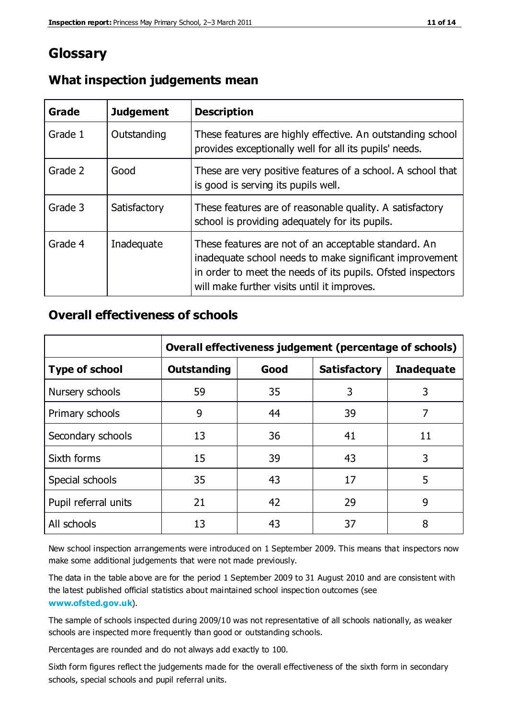## **Glossary**

| Grade   | <b>Judgement</b> | <b>Description</b>                                                                                                                                                                                                            |
|---------|------------------|-------------------------------------------------------------------------------------------------------------------------------------------------------------------------------------------------------------------------------|
| Grade 1 | Outstanding      | These features are highly effective. An outstanding school<br>provides exceptionally well for all its pupils' needs.                                                                                                          |
| Grade 2 | Good             | These are very positive features of a school. A school that<br>is good is serving its pupils well.                                                                                                                            |
| Grade 3 | Satisfactory     | These features are of reasonable quality. A satisfactory<br>school is providing adequately for its pupils.                                                                                                                    |
| Grade 4 | Inadequate       | These features are not of an acceptable standard. An<br>inadequate school needs to make significant improvement<br>in order to meet the needs of its pupils. Ofsted inspectors<br>will make further visits until it improves. |

## **What inspection judgements mean**

## **Overall effectiveness of schools**

|                       | Overall effectiveness judgement (percentage of schools) |      |                     |                   |
|-----------------------|---------------------------------------------------------|------|---------------------|-------------------|
| <b>Type of school</b> | <b>Outstanding</b>                                      | Good | <b>Satisfactory</b> | <b>Inadequate</b> |
| Nursery schools       | 59                                                      | 35   | 3                   | 3                 |
| Primary schools       | 9                                                       | 44   | 39                  | 7                 |
| Secondary schools     | 13                                                      | 36   | 41                  | 11                |
| Sixth forms           | 15                                                      | 39   | 43                  | 3                 |
| Special schools       | 35                                                      | 43   | 17                  | 5                 |
| Pupil referral units  | 21                                                      | 42   | 29                  | 9                 |
| All schools           | 13                                                      | 43   | 37                  | 8                 |

New school inspection arrangements were introduced on 1 September 2009. This means that inspectors now make some additional judgements that were not made previously.

The data in the table above are for the period 1 September 2009 to 31 August 2010 and are consistent with the latest published official statistics about maintained school inspec tion outcomes (see **[www.ofsted.gov.uk](http://www.ofsted.gov.uk/)**).

The sample of schools inspected during 2009/10 was not representative of all schools nationally, as weaker schools are inspected more frequently than good or outstanding schools.

Percentages are rounded and do not always add exactly to 100.

Sixth form figures reflect the judgements made for the overall effectiveness of the sixth form in secondary schools, special schools and pupil referral units.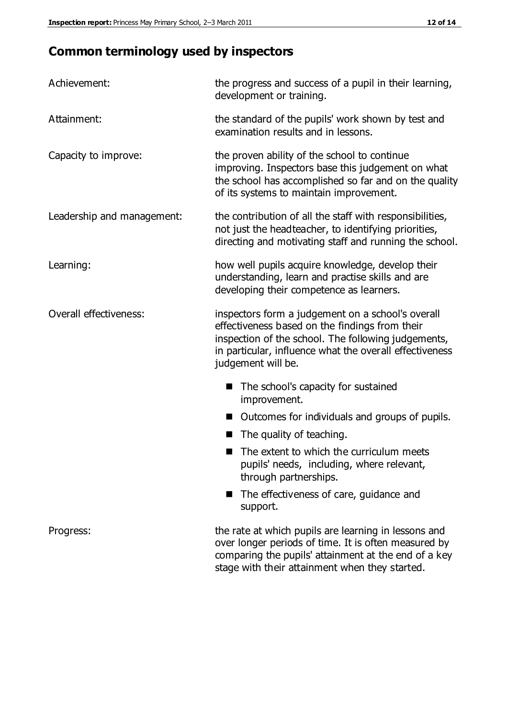## **Common terminology used by inspectors**

| Achievement:               | the progress and success of a pupil in their learning,<br>development or training.                                                                                                                                                          |  |  |
|----------------------------|---------------------------------------------------------------------------------------------------------------------------------------------------------------------------------------------------------------------------------------------|--|--|
| Attainment:                | the standard of the pupils' work shown by test and<br>examination results and in lessons.                                                                                                                                                   |  |  |
| Capacity to improve:       | the proven ability of the school to continue<br>improving. Inspectors base this judgement on what<br>the school has accomplished so far and on the quality<br>of its systems to maintain improvement.                                       |  |  |
| Leadership and management: | the contribution of all the staff with responsibilities,<br>not just the headteacher, to identifying priorities,<br>directing and motivating staff and running the school.                                                                  |  |  |
| Learning:                  | how well pupils acquire knowledge, develop their<br>understanding, learn and practise skills and are<br>developing their competence as learners.                                                                                            |  |  |
| Overall effectiveness:     | inspectors form a judgement on a school's overall<br>effectiveness based on the findings from their<br>inspection of the school. The following judgements,<br>in particular, influence what the overall effectiveness<br>judgement will be. |  |  |
|                            | The school's capacity for sustained<br>improvement.                                                                                                                                                                                         |  |  |
|                            | Outcomes for individuals and groups of pupils.                                                                                                                                                                                              |  |  |
|                            | The quality of teaching.                                                                                                                                                                                                                    |  |  |
|                            | The extent to which the curriculum meets<br>pupils' needs, including, where relevant,<br>through partnerships.                                                                                                                              |  |  |
|                            | The effectiveness of care, guidance and<br>support.                                                                                                                                                                                         |  |  |
| Progress:                  | the rate at which pupils are learning in lessons and<br>over longer periods of time. It is often measured by<br>comparing the pupils' attainment at the end of a key                                                                        |  |  |

stage with their attainment when they started.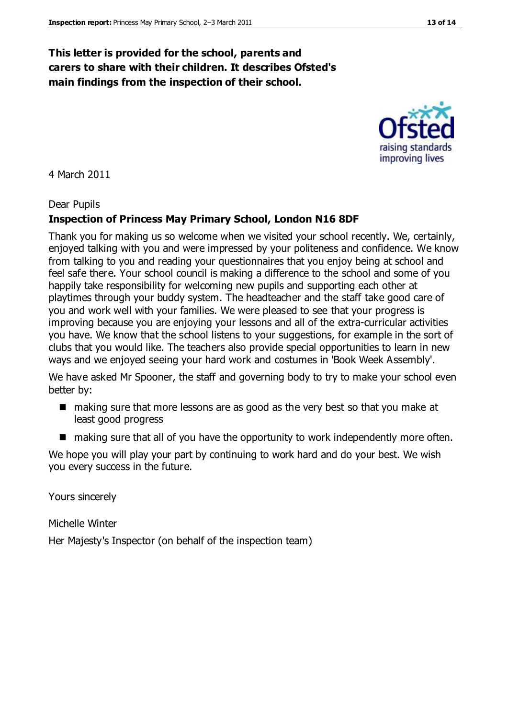## **This letter is provided for the school, parents and carers to share with their children. It describes Ofsted's main findings from the inspection of their school.**

#### 4 March 2011

#### Dear Pupils

#### **Inspection of Princess May Primary School, London N16 8DF**

Thank you for making us so welcome when we visited your school recently. We, certainly, enjoyed talking with you and were impressed by your politeness and confidence. We know from talking to you and reading your questionnaires that you enjoy being at school and feel safe there. Your school council is making a difference to the school and some of you happily take responsibility for welcoming new pupils and supporting each other at playtimes through your buddy system. The headteacher and the staff take good care of you and work well with your families. We were pleased to see that your progress is improving because you are enjoying your lessons and all of the extra-curricular activities you have. We know that the school listens to your suggestions, for example in the sort of clubs that you would like. The teachers also provide special opportunities to learn in new ways and we enjoyed seeing your hard work and costumes in 'Book Week Assembly'.

We have asked Mr Spooner, the staff and governing body to try to make your school even better by:

- making sure that more lessons are as good as the very best so that you make at least good progress
- making sure that all of you have the opportunity to work independently more often.

We hope you will play your part by continuing to work hard and do your best. We wish you every success in the future.

Yours sincerely

Michelle Winter

Her Majesty's Inspector (on behalf of the inspection team)